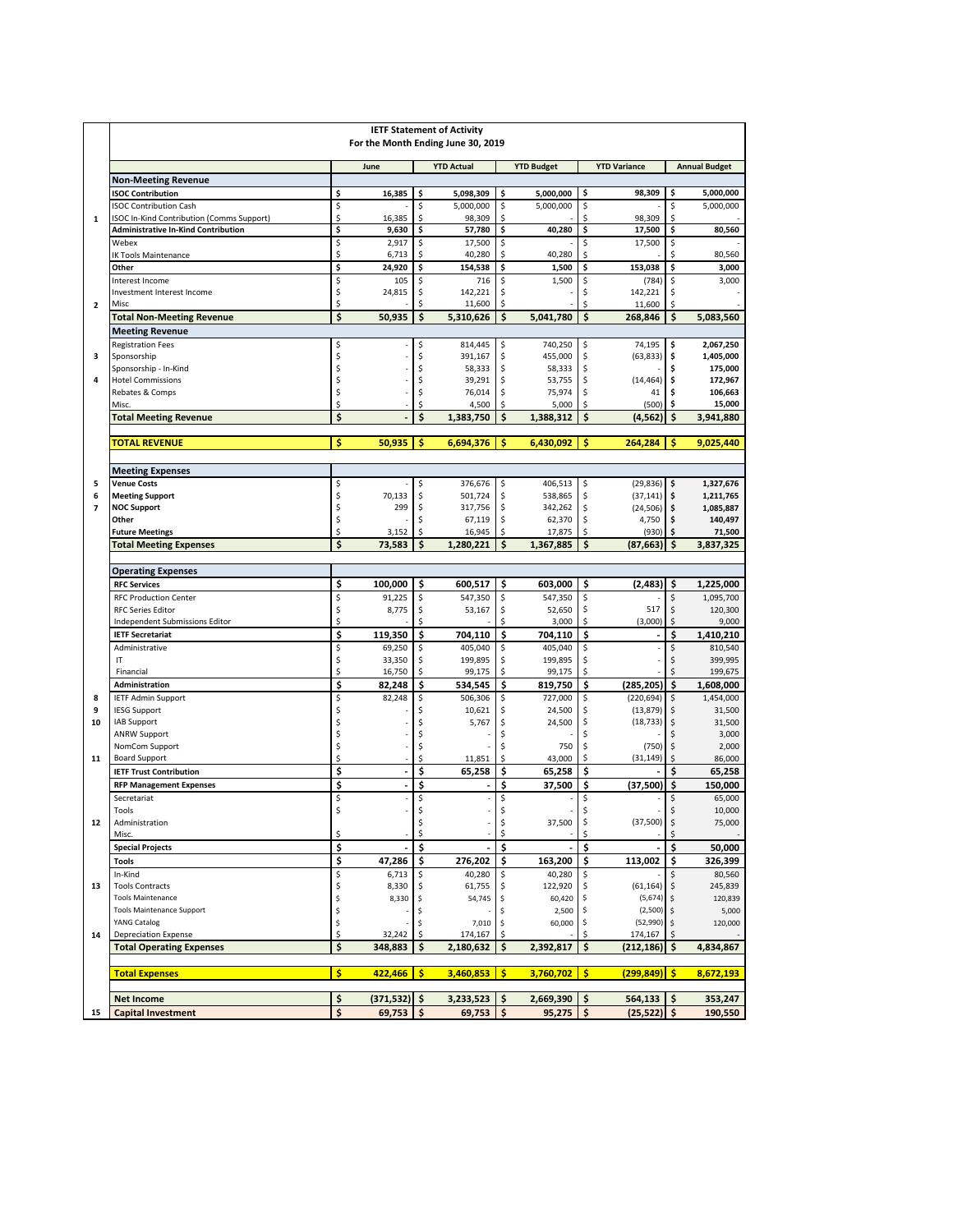|                          | <b>IETF Statement of Activity</b><br>For the Month Ending June 30, 2019    |          |               |          |                     |          |                   |          |                        |                 |                      |
|--------------------------|----------------------------------------------------------------------------|----------|---------------|----------|---------------------|----------|-------------------|----------|------------------------|-----------------|----------------------|
|                          |                                                                            |          | June          |          | <b>YTD Actual</b>   |          | <b>YTD Budget</b> |          | <b>YTD Variance</b>    |                 | <b>Annual Budget</b> |
|                          | <b>Non-Meeting Revenue</b>                                                 |          |               |          |                     |          |                   |          |                        |                 |                      |
|                          | <b>ISOC Contribution</b>                                                   | \$       | 16,385        | \$       | 5,098,309           | \$       | 5,000,000         | \$       | 98,309                 | \$              | 5,000,000            |
| $\mathbf{1}$             | <b>ISOC Contribution Cash</b><br>ISOC In-Kind Contribution (Comms Support) | \$<br>\$ | 16,385        | \$<br>\$ | 5,000,000<br>98,309 | \$<br>\$ | 5,000,000         | \$<br>\$ | 98,309                 | $\hat{S}$<br>\$ | 5,000,000            |
|                          | <b>Administrative In-Kind Contribution</b>                                 | \$       | 9,630         | \$       | 57,780              | \$       | 40,280            | \$       | 17,500                 | \$              | 80,560               |
|                          | Webex                                                                      | \$       | 2,917         | \$       | 17,500              | \$       |                   | \$       | 17,500                 | \$              |                      |
|                          | <b>IK Tools Maintenance</b>                                                | \$       | 6,713         | \$       | 40,280              | \$       | 40,280            | \$       |                        | \$              | 80,560               |
|                          | Other                                                                      | \$       | 24,920        | \$       | 154,538             | \$       | 1,500             | \$       | 153,038                | \$              | 3,000                |
|                          | Interest Income                                                            | \$       | 105           | \$       | 716                 | \$       | 1,500             | \$       | (784)                  | \$              | 3,000                |
| $\overline{2}$           | <b>Investment Interest Income</b><br>Misc                                  | \$<br>\$ | 24,815        | \$<br>\$ | 142,221<br>11,600   | \$<br>\$ |                   | \$<br>\$ | 142,221<br>11,600      | \$<br>Ŝ.        |                      |
|                          | <b>Total Non-Meeting Revenue</b>                                           | \$       | 50,935        | \$       | 5,310,626           | \$       | 5,041,780         | \$       | 268,846                | \$              | 5,083,560            |
|                          | <b>Meeting Revenue</b>                                                     |          |               |          |                     |          |                   |          |                        |                 |                      |
|                          | <b>Registration Fees</b>                                                   | \$       |               | \$       | 814,445             | \$       | 740,250           | \$       | 74,195                 | \$              | 2,067,250            |
| з                        | Sponsorship                                                                | \$       |               | \$       | 391,167             | \$       | 455,000           | \$       | (63, 833)              | \$              | 1,405,000            |
|                          | Sponsorship - In-Kind                                                      | \$       |               | \$       | 58,333              | \$       | 58,333            | \$       |                        | \$              | 175,000              |
| $\overline{a}$           | <b>Hotel Commissions</b>                                                   | \$       |               | \$       | 39,291              | \$       | 53,755            | \$       | (14, 464)              | \$              | 172,967              |
|                          | Rebates & Comps<br>Misc.                                                   | \$<br>\$ |               | \$<br>\$ | 76,014<br>4,500     | \$<br>Ś  | 75,974<br>5,000   | \$<br>\$ | 41<br>(500)            | \$<br>\$        | 106,663<br>15,000    |
|                          | <b>Total Meeting Revenue</b>                                               | \$       |               | \$       | 1,383,750           | Ś        | 1,388,312         | \$       | (4, 562)               | Ś               | 3,941,880            |
|                          |                                                                            |          |               |          |                     |          |                   |          |                        |                 |                      |
|                          | <b>TOTAL REVENUE</b>                                                       | \$       | 50,935        | \$       | 6,694,376           | Ś        | 6,430,092         | Ś        | 264,284                | Ś               | 9,025,440            |
|                          | <b>Meeting Expenses</b>                                                    |          |               |          |                     |          |                   |          |                        |                 |                      |
| 5                        | <b>Venue Costs</b>                                                         | \$       |               | \$       | 376,676             | \$       | 406,513           | \$       | (29, 836)              | \$              | 1,327,676            |
| 6                        | <b>Meeting Support</b>                                                     | \$       | 70,133        | \$       | 501,724             | \$       | 538,865           | \$       | (37, 141)              | \$              | 1,211,765            |
| $\overline{\phantom{a}}$ | <b>NOC Support</b>                                                         | \$       | 299           | \$       | 317,756             | \$       | 342,262           | \$       | (24, 506)              | \$              | 1,085,887            |
|                          | Other<br><b>Future Meetings</b>                                            | \$<br>\$ | 3,152         | Ś<br>\$  | 67,119<br>16,945    | \$<br>\$ | 62,370<br>17,875  | \$<br>\$ | 4,750<br>(930)         | \$<br>\$        | 140,497<br>71,500    |
|                          | <b>Total Meeting Expenses</b>                                              | \$       | 73,583        | \$       | 1,280,221           | Ś        | 1,367,885         | \$       | (87.663)               | \$              | 3,837,325            |
|                          |                                                                            |          |               |          |                     |          |                   |          |                        |                 |                      |
|                          | <b>Operating Expenses</b>                                                  |          |               |          |                     |          |                   |          |                        |                 |                      |
|                          | <b>RFC Services</b>                                                        | \$       | 100,000       | \$       | 600,517             | \$       | 603,000           | \$       | (2, 483)               | \$              | 1,225,000            |
|                          | <b>RFC Production Center</b>                                               | \$       | 91,225        | \$       | 547,350             | \$       | 547,350           | \$       |                        | \$              | 1,095,700            |
|                          | <b>RFC Series Editor</b><br>Independent Submissions Editor                 | \$<br>\$ | 8,775         | \$<br>\$ | 53,167              | \$<br>Ś  | 52,650<br>3,000   | \$<br>\$ | 517<br>(3,000)         | \$<br>\$        | 120,300<br>9,000     |
|                          | <b>IETF Secretariat</b>                                                    | \$       | 119,350       | \$       | 704,110             | \$       | 704,110           | \$       | ٠                      | \$              | 1,410,210            |
|                          | Administrative                                                             | \$       | 69,250        | \$       | 405,040             | \$       | 405,040           | \$       |                        | \$              | 810,540              |
|                          | IT                                                                         | \$       | 33,350        | \$       | 199,895             | \$       | 199,895           | \$       |                        | \$              | 399,995              |
|                          | Financial                                                                  | \$       | 16,750        | \$       | 99,175              | \$       | 99,175            | \$       |                        | \$              | 199,675              |
|                          | <b>Administration</b>                                                      | \$       | 82,248        | \$       | 534,545             | \$       | 819,750           | \$       | (285, 205)             | \$              | 1,608,000            |
| 8                        | <b>IETF Admin Support</b>                                                  | \$       | 82,248        | \$       | 506,306             | \$       | 727,000           | \$       | (220, 694)             | \$              | 1,454,000            |
| 9<br>10                  | <b>IESG Support</b><br>IAB Support                                         | \$       |               | Ś<br>Ś   | 10,621              | \$       | 24,500            | \$<br>\$ | (13, 879)<br>(18, 733) | \$              | 31,500               |
|                          | <b>ANRW Support</b>                                                        | \$<br>\$ |               | \$       | 5,767               | \$<br>\$ | 24,500            | \$       |                        | \$              | 31,500<br>3,000      |
|                          | NomCom Support                                                             | \$       |               | \$       |                     |          | 750               | \$       | (750)                  | \$              | 2,000                |
| 11                       | <b>Board Support</b>                                                       | \$       |               | \$       | 11,851              | \$       | 43,000            | \$       | (31, 149)              | \$              | 86,000               |
|                          | <b>IETF Trust Contribution</b>                                             | \$       | ÷,            | \$       | 65,258              | \$       | 65,258            | \$       |                        | \$              | 65,258               |
|                          | <b>RFP Management Expenses</b>                                             | \$       | ä,            | Ś        |                     | \$       | 37.500            | \$       | (37,500)               | \$              | 150,000              |
|                          | Secretariat                                                                | \$<br>ς  |               | \$<br>\$ |                     | \$<br>Ś  |                   | \$<br>\$ |                        | \$              | 65,000               |
| 12                       | Tools<br>Administration                                                    |          |               | \$       |                     | \$       | 37,500            | \$       | (37,500)               | Ś<br>\$         | 10,000<br>75,000     |
|                          | Misc.                                                                      | \$       |               | \$       |                     | \$       |                   | \$       |                        | \$              |                      |
|                          | <b>Special Projects</b>                                                    | \$       |               | \$       |                     | \$       |                   | Ś        |                        | \$              | 50,000               |
|                          | <b>Tools</b>                                                               | \$       | 47,286        | \$       | 276,202             | \$       | 163,200           | \$       | 113,002                | \$              | 326,399              |
|                          | In-Kind                                                                    | \$       | 6,713         | \$       | 40,280              | \$       | 40,280            |          |                        |                 | 80,560               |
| 13                       | <b>Tools Contracts</b><br><b>Tools Maintenance</b>                         | \$       | 8,330         | \$       | 61,755              | \$       | 122,920           |          | (61, 164)              | \$              | 245,839              |
|                          | <b>Tools Maintenance Support</b>                                           | \$<br>\$ | 8,330         | \$<br>\$ | 54,745              | \$<br>\$ | 60,420<br>2,500   | \$<br>\$ | (5,674)<br>(2,500)     | \$.             | 120,839<br>5,000     |
|                          | YANG Catalog                                                               | \$       |               | \$       | 7,010               | \$       | 60,000            | \$       | (52,990)               |                 | 120,000              |
| 14                       | <b>Depreciation Expense</b>                                                | \$       | 32,242        | \$       | 174,167             | \$       |                   | \$       | 174,167                |                 |                      |
|                          | <b>Total Operating Expenses</b>                                            | \$       | 348,883       | \$       | 2,180,632           | \$       | 2,392,817         | \$       | (212, 186)             | \$              | 4,834,867            |
|                          | <b>Total Expenses</b>                                                      | \$       | 422,466       | \$       | 3,460,853           | \$       | 3,760,702         | \$       | (299,849)              | \$              | 8,672,193            |
|                          |                                                                            | \$       | (371,532)  \$ |          | 3,233,523           | \$       | 2,669,390         | \$       | 564,133                | \$              | 353,247              |
| 15                       | <b>Net Income</b><br><b>Capital Investment</b>                             | \$       | 69,753        | \$       | 69,753              | \$       | 95,275            | \$       | $(25,522)$ \$          |                 | 190,550              |